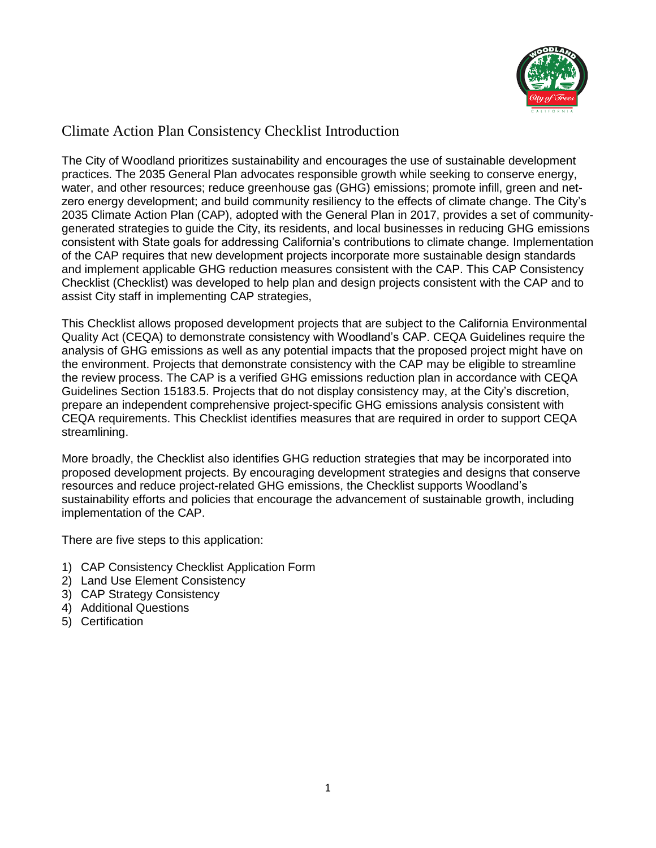

#### Climate Action Plan Consistency Checklist Introduction

The City of Woodland prioritizes sustainability and encourages the use of sustainable development practices. The 2035 General Plan advocates responsible growth while seeking to conserve energy, water, and other resources; reduce greenhouse gas (GHG) emissions; promote infill, green and netzero energy development; and build community resiliency to the effects of climate change. The City's 2035 Climate Action Plan (CAP), adopted with the General Plan in 2017, provides a set of communitygenerated strategies to guide the City, its residents, and local businesses in reducing GHG emissions consistent with State goals for addressing California's contributions to climate change. Implementation of the CAP requires that new development projects incorporate more sustainable design standards and implement applicable GHG reduction measures consistent with the CAP. This CAP Consistency Checklist (Checklist) was developed to help plan and design projects consistent with the CAP and to assist City staff in implementing CAP strategies,

This Checklist allows proposed development projects that are subject to the California Environmental Quality Act (CEQA) to demonstrate consistency with Woodland's CAP. CEQA Guidelines require the analysis of GHG emissions as well as any potential impacts that the proposed project might have on the environment. Projects that demonstrate consistency with the CAP may be eligible to streamline the review process. The CAP is a verified GHG emissions reduction plan in accordance with CEQA Guidelines Section 15183.5. Projects that do not display consistency may, at the City's discretion, prepare an independent comprehensive project-specific GHG emissions analysis consistent with CEQA requirements. This Checklist identifies measures that are required in order to support CEQA streamlining.

More broadly, the Checklist also identifies GHG reduction strategies that may be incorporated into proposed development projects. By encouraging development strategies and designs that conserve resources and reduce project-related GHG emissions, the Checklist supports Woodland's sustainability efforts and policies that encourage the advancement of sustainable growth, including implementation of the CAP.

There are five steps to this application:

- 1) CAP Consistency Checklist Application Form
- 2) Land Use Element Consistency
- 3) CAP Strategy Consistency
- 4) Additional Questions
- 5) Certification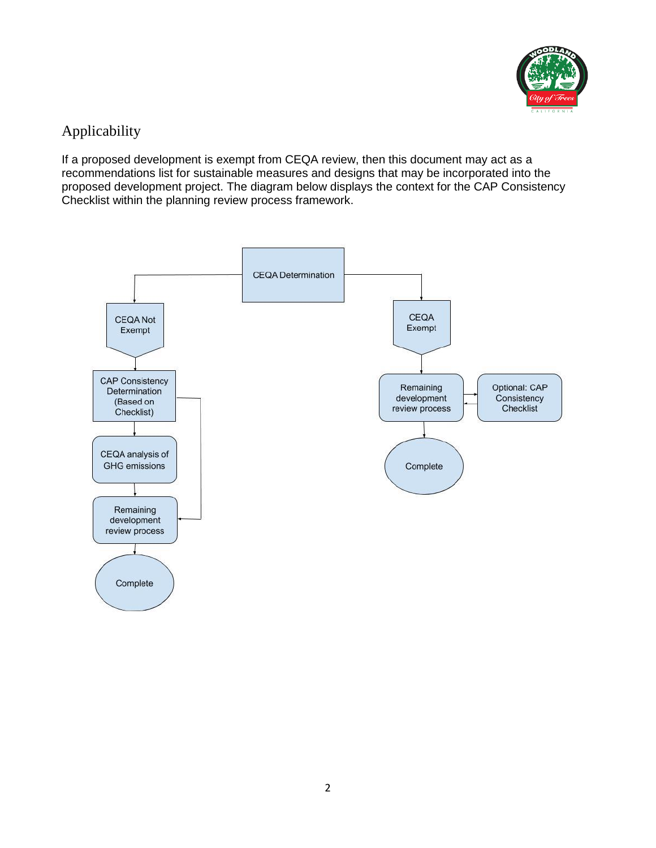

# Applicability

If a proposed development is exempt from CEQA review, then this document may act as a recommendations list for sustainable measures and designs that may be incorporated into the proposed development project. The diagram below displays the context for the CAP Consistency Checklist within the planning review process framework.

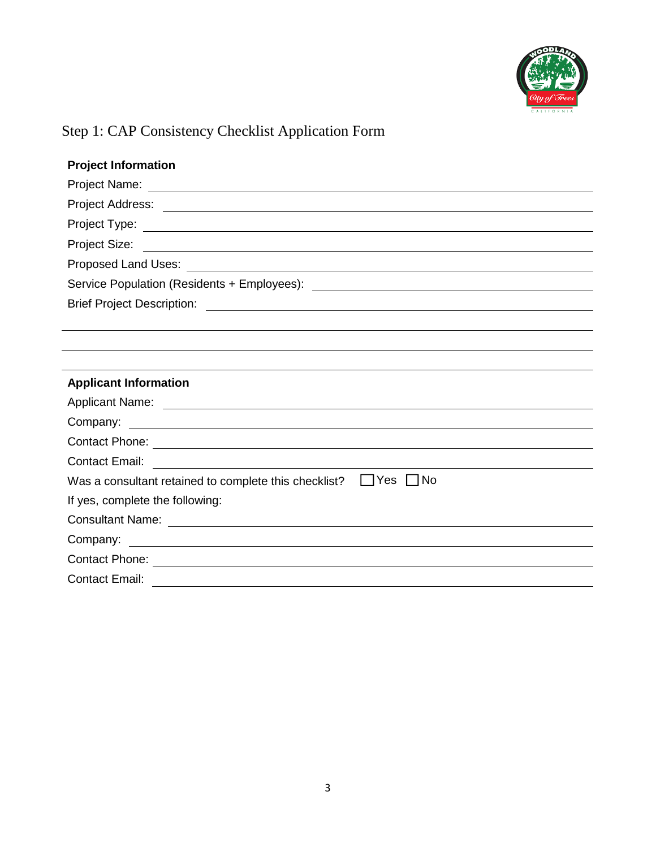

# Step 1: CAP Consistency Checklist Application Form

| <b>Project Information</b>                                                                                                                                                                                                           |
|--------------------------------------------------------------------------------------------------------------------------------------------------------------------------------------------------------------------------------------|
|                                                                                                                                                                                                                                      |
|                                                                                                                                                                                                                                      |
|                                                                                                                                                                                                                                      |
|                                                                                                                                                                                                                                      |
|                                                                                                                                                                                                                                      |
|                                                                                                                                                                                                                                      |
|                                                                                                                                                                                                                                      |
|                                                                                                                                                                                                                                      |
|                                                                                                                                                                                                                                      |
|                                                                                                                                                                                                                                      |
|                                                                                                                                                                                                                                      |
| <b>Applicant Information</b>                                                                                                                                                                                                         |
|                                                                                                                                                                                                                                      |
| Company:<br><u> 1989 - Jan Barbara Barat, martin da basar da basar da basar da basar da basar da basar da basar da basar da b</u>                                                                                                    |
|                                                                                                                                                                                                                                      |
| Contact Phone: <u>contact Phone</u><br><b>Contact Email:</b>                                                                                                                                                                         |
| <u> 1980 - Andrea State Barbara, amerikan personal di sebagai personal di sebagai personal di sebagai personal di</u><br>$\Box$ Yes $\Box$ No<br>Was a consultant retained to complete this checklist?                               |
| If yes, complete the following:                                                                                                                                                                                                      |
|                                                                                                                                                                                                                                      |
|                                                                                                                                                                                                                                      |
| Contact Phone: <u>contact of the contract of the contract of the contract of the contract of the contract of the contract of the contract of the contract of the contract of the contract of the contract of the contract of the</u> |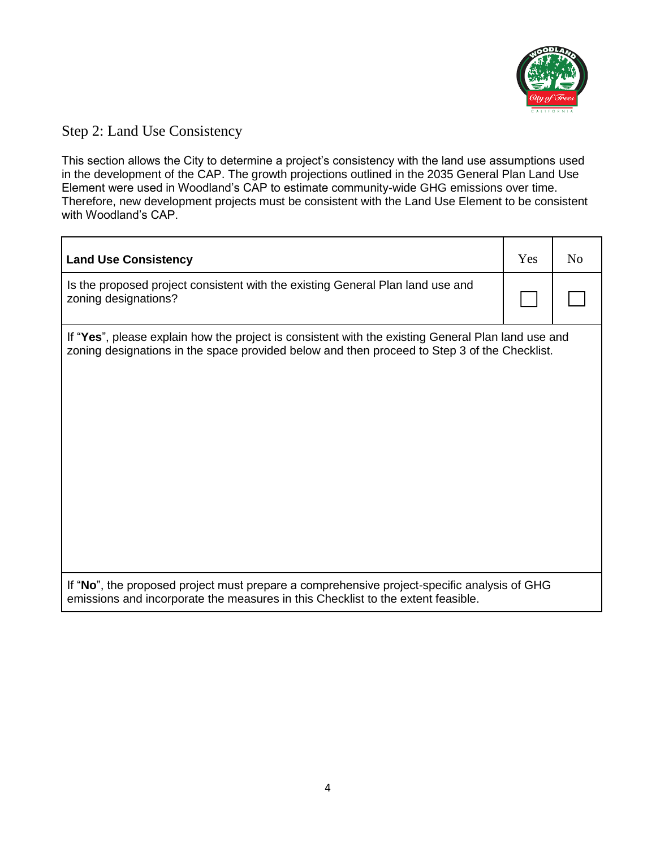

#### Step 2: Land Use Consistency

This section allows the City to determine a project's consistency with the land use assumptions used in the development of the CAP. The growth projections outlined in the 2035 General Plan Land Use Element were used in Woodland's CAP to estimate community-wide GHG emissions over time. Therefore, new development projects must be consistent with the Land Use Element to be consistent with Woodland's CAP.

| <b>Land Use Consistency</b>                                                                                                                                                                        | Yes | N <sub>0</sub> |
|----------------------------------------------------------------------------------------------------------------------------------------------------------------------------------------------------|-----|----------------|
| Is the proposed project consistent with the existing General Plan land use and<br>zoning designations?                                                                                             |     |                |
| If "Yes", please explain how the project is consistent with the existing General Plan land use and<br>zoning designations in the space provided below and then proceed to Step 3 of the Checklist. |     |                |
| If "No", the proposed project must prepare a comprehensive project-specific analysis of GHG<br>emissions and incorporate the measures in this Checklist to the extent feasible.                    |     |                |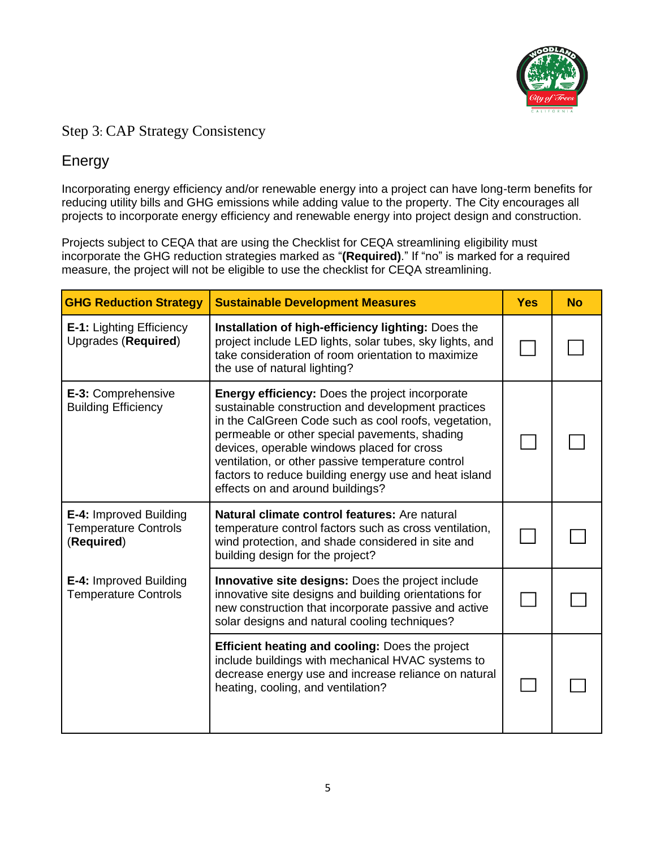

#### Step 3: CAP Strategy Consistency

# Energy

Incorporating energy efficiency and/or renewable energy into a project can have long-term benefits for reducing utility bills and GHG emissions while adding value to the property. The City encourages all projects to incorporate energy efficiency and renewable energy into project design and construction.

Projects subject to CEQA that are using the Checklist for CEQA streamlining eligibility must incorporate the GHG reduction strategies marked as "**(Required)**." If "no" is marked for a required measure, the project will not be eligible to use the checklist for CEQA streamlining.

| <b>GHG Reduction Strategy</b>                                       | <b>Sustainable Development Measures</b>                                                                                                                                                                                                                                                                                                                                                                               | <b>Yes</b> | <b>No</b> |
|---------------------------------------------------------------------|-----------------------------------------------------------------------------------------------------------------------------------------------------------------------------------------------------------------------------------------------------------------------------------------------------------------------------------------------------------------------------------------------------------------------|------------|-----------|
| <b>E-1: Lighting Efficiency</b><br>Upgrades (Required)              | Installation of high-efficiency lighting: Does the<br>project include LED lights, solar tubes, sky lights, and<br>take consideration of room orientation to maximize<br>the use of natural lighting?                                                                                                                                                                                                                  |            |           |
| E-3: Comprehensive<br><b>Building Efficiency</b>                    | <b>Energy efficiency: Does the project incorporate</b><br>sustainable construction and development practices<br>in the CalGreen Code such as cool roofs, vegetation,<br>permeable or other special pavements, shading<br>devices, operable windows placed for cross<br>ventilation, or other passive temperature control<br>factors to reduce building energy use and heat island<br>effects on and around buildings? |            |           |
| E-4: Improved Building<br><b>Temperature Controls</b><br>(Required) | Natural climate control features: Are natural<br>temperature control factors such as cross ventilation,<br>wind protection, and shade considered in site and<br>building design for the project?                                                                                                                                                                                                                      |            |           |
| <b>E-4: Improved Building</b><br><b>Temperature Controls</b>        | <b>Innovative site designs: Does the project include</b><br>innovative site designs and building orientations for<br>new construction that incorporate passive and active<br>solar designs and natural cooling techniques?                                                                                                                                                                                            |            |           |
|                                                                     | <b>Efficient heating and cooling: Does the project</b><br>include buildings with mechanical HVAC systems to<br>decrease energy use and increase reliance on natural<br>heating, cooling, and ventilation?                                                                                                                                                                                                             |            |           |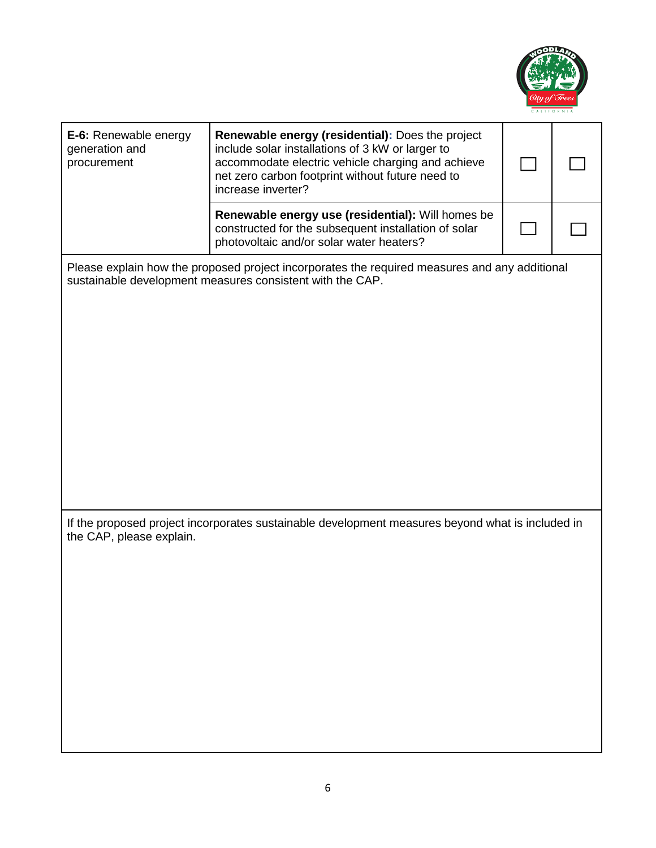

| E-6: Renewable energy<br>generation and<br>procurement                                                                                                     | Renewable energy (residential): Does the project<br>include solar installations of 3 kW or larger to<br>accommodate electric vehicle charging and achieve<br>net zero carbon footprint without future need to<br>increase inverter? |  |  |  |
|------------------------------------------------------------------------------------------------------------------------------------------------------------|-------------------------------------------------------------------------------------------------------------------------------------------------------------------------------------------------------------------------------------|--|--|--|
|                                                                                                                                                            | Renewable energy use (residential): Will homes be<br>constructed for the subsequent installation of solar<br>photovoltaic and/or solar water heaters?                                                                               |  |  |  |
| Please explain how the proposed project incorporates the required measures and any additional<br>sustainable development measures consistent with the CAP. |                                                                                                                                                                                                                                     |  |  |  |
|                                                                                                                                                            |                                                                                                                                                                                                                                     |  |  |  |
|                                                                                                                                                            |                                                                                                                                                                                                                                     |  |  |  |
|                                                                                                                                                            |                                                                                                                                                                                                                                     |  |  |  |
|                                                                                                                                                            |                                                                                                                                                                                                                                     |  |  |  |
| If the proposed project incorporates sustainable development measures beyond what is included in<br>the CAP, please explain.                               |                                                                                                                                                                                                                                     |  |  |  |
|                                                                                                                                                            |                                                                                                                                                                                                                                     |  |  |  |
|                                                                                                                                                            |                                                                                                                                                                                                                                     |  |  |  |
|                                                                                                                                                            |                                                                                                                                                                                                                                     |  |  |  |
|                                                                                                                                                            |                                                                                                                                                                                                                                     |  |  |  |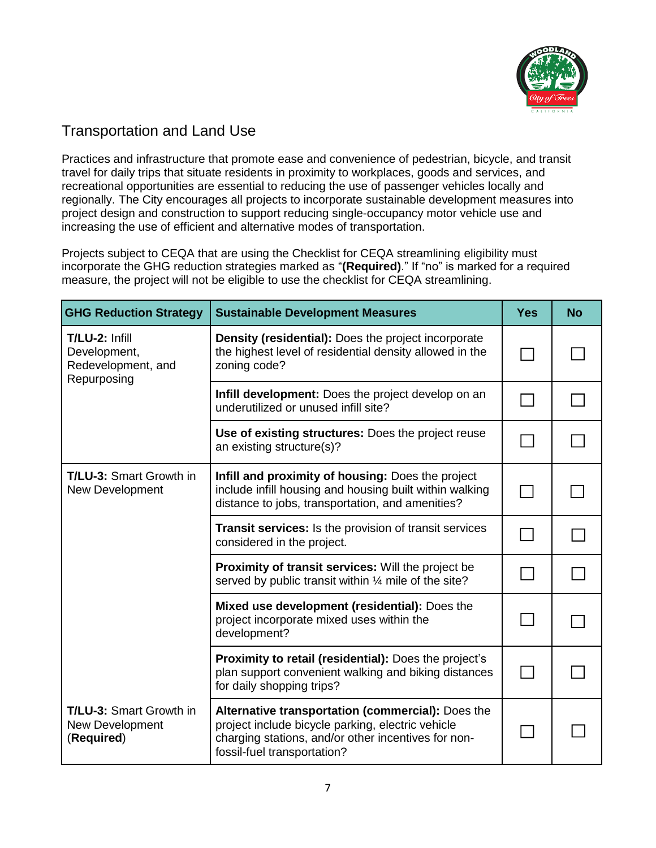

# Transportation and Land Use

Practices and infrastructure that promote ease and convenience of pedestrian, bicycle, and transit travel for daily trips that situate residents in proximity to workplaces, goods and services, and recreational opportunities are essential to reducing the use of passenger vehicles locally and regionally. The City encourages all projects to incorporate sustainable development measures into project design and construction to support reducing single-occupancy motor vehicle use and increasing the use of efficient and alternative modes of transportation.

Projects subject to CEQA that are using the Checklist for CEQA streamlining eligibility must incorporate the GHG reduction strategies marked as "**(Required)**." If "no" is marked for a required measure, the project will not be eligible to use the checklist for CEQA streamlining.

| <b>GHG Reduction Strategy</b>                                       | <b>Sustainable Development Measures</b>                                                                                                                                                      | <b>Yes</b>                | <b>No</b> |
|---------------------------------------------------------------------|----------------------------------------------------------------------------------------------------------------------------------------------------------------------------------------------|---------------------------|-----------|
| T/LU-2: Infill<br>Development,<br>Redevelopment, and<br>Repurposing | Density (residential): Does the project incorporate<br>the highest level of residential density allowed in the<br>zoning code?                                                               | $\mathbf{I}$              |           |
|                                                                     | Infill development: Does the project develop on an<br>underutilized or unused infill site?                                                                                                   |                           |           |
|                                                                     | Use of existing structures: Does the project reuse<br>an existing structure(s)?                                                                                                              |                           |           |
| <b>T/LU-3: Smart Growth in</b><br>New Development                   | Infill and proximity of housing: Does the project<br>include infill housing and housing built within walking<br>distance to jobs, transportation, and amenities?                             | $\mathbb{C}^{\mathbb{R}}$ |           |
|                                                                     | Transit services: Is the provision of transit services<br>considered in the project.                                                                                                         |                           |           |
|                                                                     | <b>Proximity of transit services:</b> Will the project be<br>served by public transit within 1/4 mile of the site?                                                                           |                           |           |
|                                                                     | Mixed use development (residential): Does the<br>project incorporate mixed uses within the<br>development?                                                                                   |                           |           |
|                                                                     | Proximity to retail (residential): Does the project's<br>plan support convenient walking and biking distances<br>for daily shopping trips?                                                   | $\mathbf{I}$              |           |
| <b>T/LU-3: Smart Growth in</b><br>New Development<br>(Required)     | Alternative transportation (commercial): Does the<br>project include bicycle parking, electric vehicle<br>charging stations, and/or other incentives for non-<br>fossil-fuel transportation? |                           |           |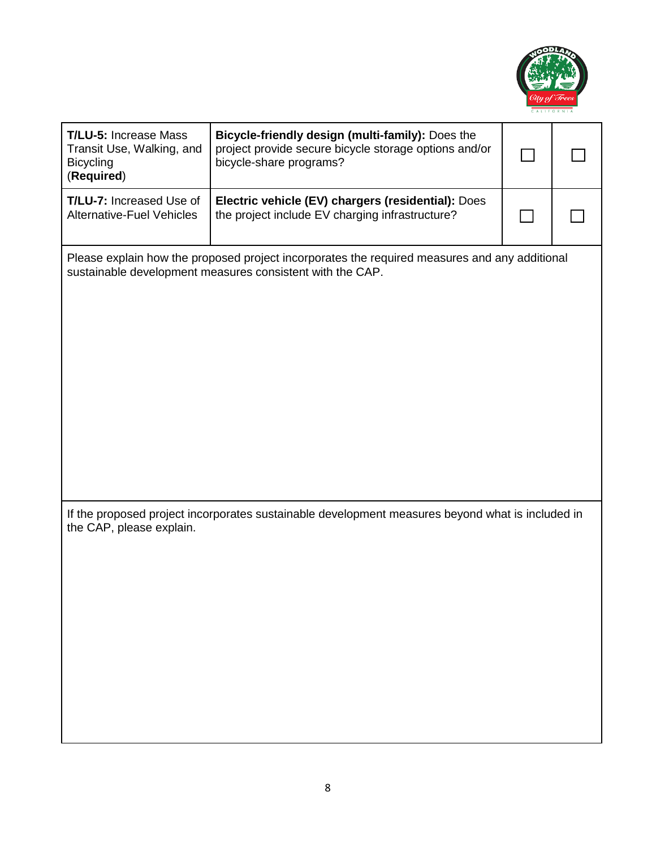

| <b>T/LU-5: Increase Mass</b><br>Transit Use, Walking, and<br><b>Bicycling</b><br>(Required)                                                                | Bicycle-friendly design (multi-family): Does the<br>project provide secure bicycle storage options and/or<br>bicycle-share programs? |  |  |
|------------------------------------------------------------------------------------------------------------------------------------------------------------|--------------------------------------------------------------------------------------------------------------------------------------|--|--|
| <b>T/LU-7: Increased Use of</b><br><b>Alternative-Fuel Vehicles</b>                                                                                        | Electric vehicle (EV) chargers (residential): Does<br>the project include EV charging infrastructure?                                |  |  |
| Please explain how the proposed project incorporates the required measures and any additional<br>sustainable development measures consistent with the CAP. |                                                                                                                                      |  |  |
| the CAP, please explain.                                                                                                                                   | If the proposed project incorporates sustainable development measures beyond what is included in                                     |  |  |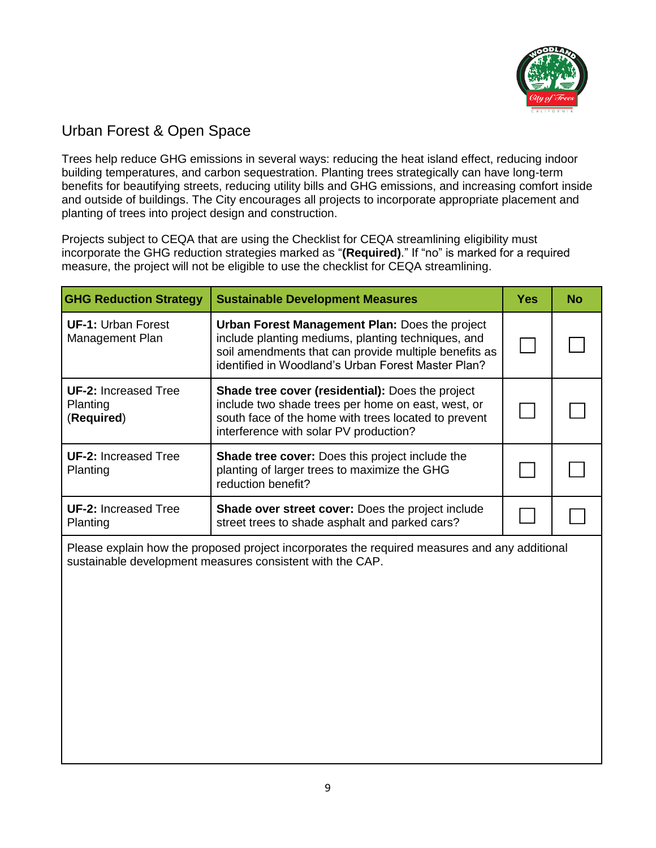

# Urban Forest & Open Space

Trees help reduce GHG emissions in several ways: reducing the heat island effect, reducing indoor building temperatures, and carbon sequestration. Planting trees strategically can have long-term benefits for beautifying streets, reducing utility bills and GHG emissions, and increasing comfort inside and outside of buildings. The City encourages all projects to incorporate appropriate placement and planting of trees into project design and construction.

Projects subject to CEQA that are using the Checklist for CEQA streamlining eligibility must incorporate the GHG reduction strategies marked as "**(Required)**." If "no" is marked for a required measure, the project will not be eligible to use the checklist for CEQA streamlining.

| <b>GHG Reduction Strategy</b>                                                                                                                              | <b>Sustainable Development Measures</b>                                                                                                                                                                             | <b>Yes</b> | No |
|------------------------------------------------------------------------------------------------------------------------------------------------------------|---------------------------------------------------------------------------------------------------------------------------------------------------------------------------------------------------------------------|------------|----|
| <b>UF-1: Urban Forest</b><br>Management Plan                                                                                                               | Urban Forest Management Plan: Does the project<br>include planting mediums, planting techniques, and<br>soil amendments that can provide multiple benefits as<br>identified in Woodland's Urban Forest Master Plan? |            |    |
| <b>UF-2: Increased Tree</b><br>Planting<br>(Required)                                                                                                      | Shade tree cover (residential): Does the project<br>include two shade trees per home on east, west, or<br>south face of the home with trees located to prevent<br>interference with solar PV production?            |            |    |
| <b>UF-2: Increased Tree</b><br>Planting                                                                                                                    | <b>Shade tree cover:</b> Does this project include the<br>planting of larger trees to maximize the GHG<br>reduction benefit?                                                                                        |            |    |
| <b>UF-2: Increased Tree</b><br>Planting                                                                                                                    | Shade over street cover: Does the project include<br>street trees to shade asphalt and parked cars?                                                                                                                 |            |    |
| Please explain how the proposed project incorporates the required measures and any additional<br>sustainable development measures consistent with the CAP. |                                                                                                                                                                                                                     |            |    |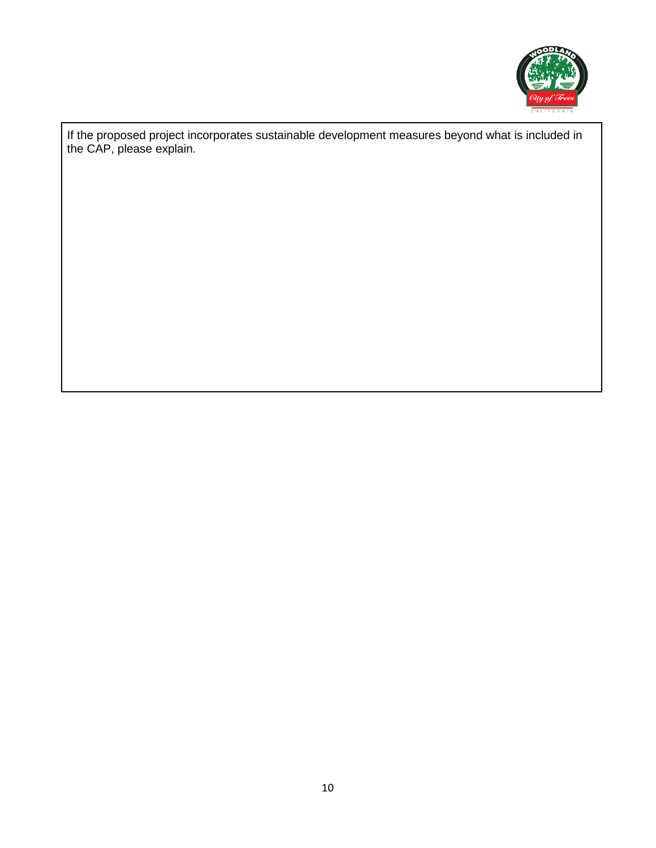

If the proposed project incorporates sustainable development measures beyond what is included in the CAP, please explain.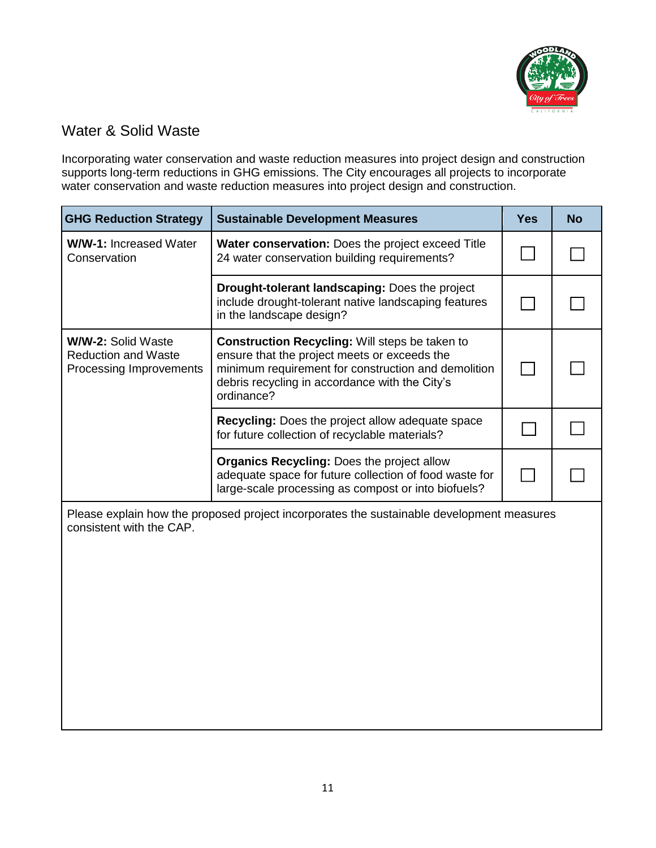

# Water & Solid Waste

Incorporating water conservation and waste reduction measures into project design and construction supports long-term reductions in GHG emissions. The City encourages all projects to incorporate water conservation and waste reduction measures into project design and construction.

| <b>GHG Reduction Strategy</b>                                                             | <b>Sustainable Development Measures</b>                                                                                                                                                                                      | Yes | No |
|-------------------------------------------------------------------------------------------|------------------------------------------------------------------------------------------------------------------------------------------------------------------------------------------------------------------------------|-----|----|
| <b>W/W-1: Increased Water</b><br>Conservation                                             | <b>Water conservation:</b> Does the project exceed Title<br>24 water conservation building requirements?                                                                                                                     |     |    |
|                                                                                           | <b>Drought-tolerant landscaping: Does the project</b><br>include drought-tolerant native landscaping features<br>in the landscape design?                                                                                    |     |    |
| <b>W/W-2: Solid Waste</b><br><b>Reduction and Waste</b><br><b>Processing Improvements</b> | <b>Construction Recycling: Will steps be taken to</b><br>ensure that the project meets or exceeds the<br>minimum requirement for construction and demolition<br>debris recycling in accordance with the City's<br>ordinance? |     |    |
|                                                                                           | <b>Recycling:</b> Does the project allow adequate space<br>for future collection of recyclable materials?                                                                                                                    |     |    |
|                                                                                           | <b>Organics Recycling: Does the project allow</b><br>adequate space for future collection of food waste for<br>large-scale processing as compost or into biofuels?                                                           |     |    |

Please explain how the proposed project incorporates the sustainable development measures consistent with the CAP.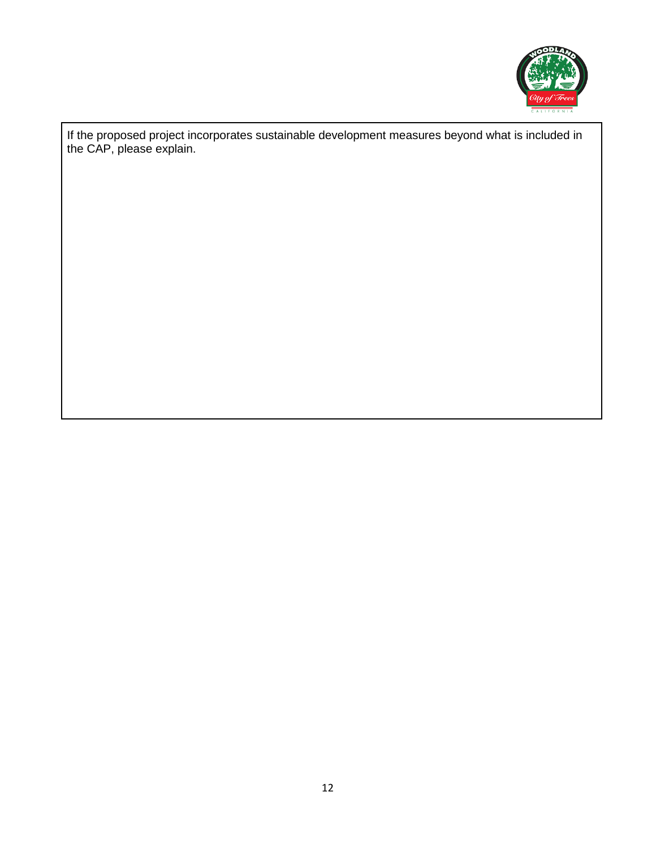

If the proposed project incorporates sustainable development measures beyond what is included in the CAP, please explain.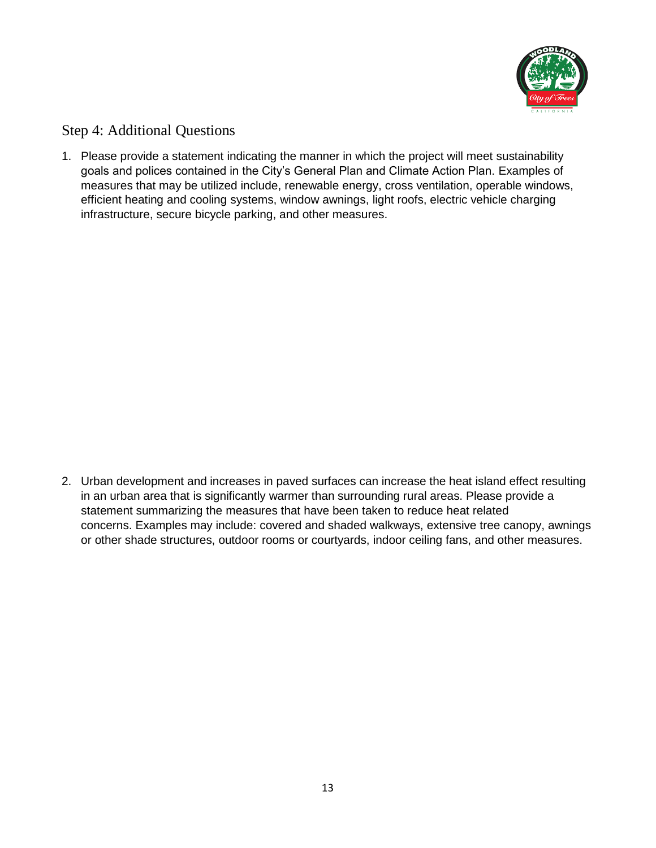

#### Step 4: Additional Questions

1. Please provide a statement indicating the manner in which the project will meet sustainability goals and polices contained in the City's General Plan and Climate Action Plan. Examples of measures that may be utilized include, renewable energy, cross ventilation, operable windows, efficient heating and cooling systems, window awnings, light roofs, electric vehicle charging infrastructure, secure bicycle parking, and other measures.

2. Urban development and increases in paved surfaces can increase the heat island effect resulting in an urban area that is significantly warmer than surrounding rural areas. Please provide a statement summarizing the measures that have been taken to reduce heat related concerns. Examples may include: covered and shaded walkways, extensive tree canopy, awnings or other shade structures, outdoor rooms or courtyards, indoor ceiling fans, and other measures.